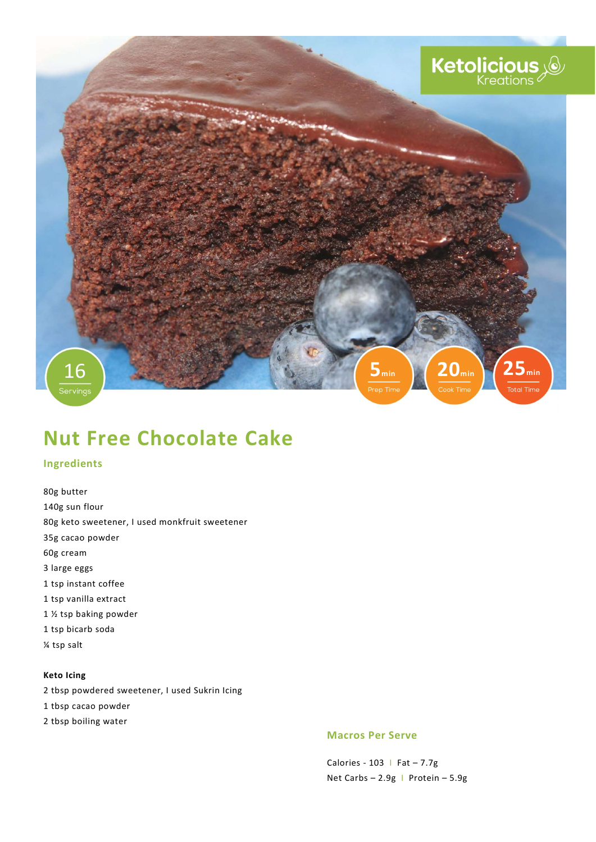

# Nut Free Chocolate Cake

# Ingredients

80g butter 140g sun flour 80g keto sweetener, I used monkfruit sweetener 35g cacao powder 60g cream 3 large eggs 1 tsp instant coffee 1 tsp vanilla extract 1 ½ tsp baking powder 1 tsp bicarb soda ¼ tsp salt

## Keto Icing

2 tbsp powdered sweetener, I used Sukrin Icing

- 1 tbsp cacao powder
- 2 tbsp boiling water

#### Macros Per Serve

Calories - 103 | Fat  $-7.7g$ Net Carbs – 2.9g I Protein – 5.9g